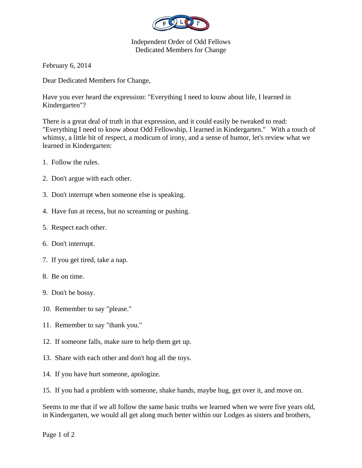

Independent Order of Odd Fellows Dedicated Members for Change

February 6, 2014

Dear Dedicated Members for Change,

Have you ever heard the expression: "Everything I need to know about life, I learned in Kindergarten"?

There is a great deal of truth in that expression, and it could easily be tweaked to read: "Everything I need to know about Odd Fellowship, I learned in Kindergarten." With a touch of whimsy, a little bit of respect, a modicum of irony, and a sense of humor, let's review what we learned in Kindergarten:

- 1. Follow the rules.
- 2. Don't argue with each other.
- 3. Don't interrupt when someone else is speaking.
- 4. Have fun at recess, but no screaming or pushing.
- 5. Respect each other.
- 6. Don't interrupt.
- 7. If you get tired, take a nap.
- 8. Be on time.
- 9. Don't be bossy.
- 10. Remember to say "please."
- 11. Remember to say "thank you."
- 12. If someone falls, make sure to help them get up.
- 13. Share with each other and don't hog all the toys.
- 14. If you have hurt someone, apologize.
- 15. If you had a problem with someone, shake hands, maybe hug, get over it, and move on.

Seems to me that if we all follow the same basic truths we learned when we were five years old, in Kindergarten, we would all get along much better within our Lodges as sisters and brothers,